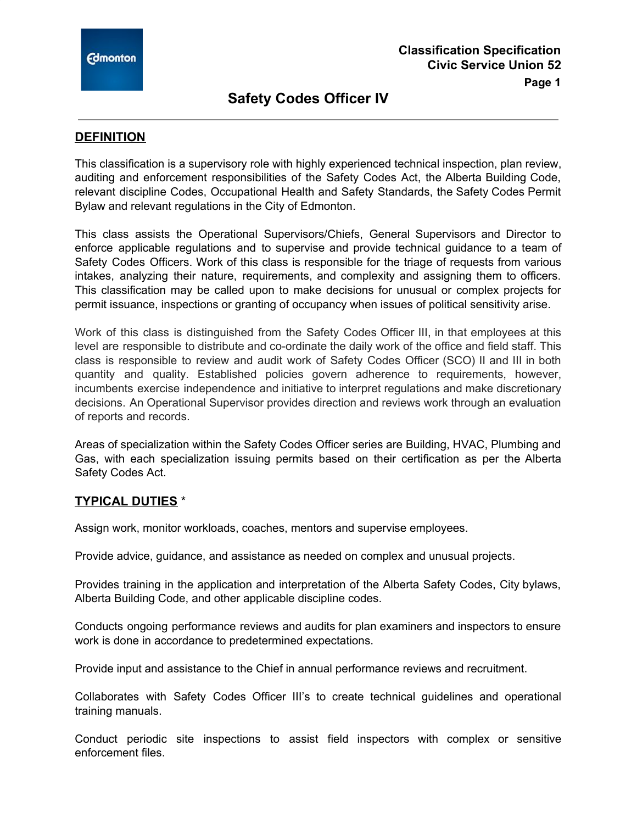**Page 1**

## **DEFINITION**

This classification is a supervisory role with highly experienced technical inspection, plan review, auditing and enforcement responsibilities of the Safety Codes Act, the Alberta Building Code, relevant discipline Codes, Occupational Health and Safety Standards, the Safety Codes Permit Bylaw and relevant regulations in the City of Edmonton.

This class assists the Operational Supervisors/Chiefs, General Supervisors and Director to enforce applicable regulations and to supervise and provide technical guidance to a team of Safety Codes Officers. Work of this class is responsible for the triage of requests from various intakes, analyzing their nature, requirements, and complexity and assigning them to officers. This classification may be called upon to make decisions for unusual or complex projects for permit issuance, inspections or granting of occupancy when issues of political sensitivity arise.

Work of this class is distinguished from the Safety Codes Officer III, in that employees at this level are responsible to distribute and co-ordinate the daily work of the office and field staff. This class is responsible to review and audit work of Safety Codes Officer (SCO) II and III in both quantity and quality. Established policies govern adherence to requirements, however, incumbents exercise independence and initiative to interpret regulations and make discretionary decisions. An Operational Supervisor provides direction and reviews work through an evaluation of reports and records.

Areas of specialization within the Safety Codes Officer series are Building, HVAC, Plumbing and Gas, with each specialization issuing permits based on their certification as per the Alberta Safety Codes Act.

### **TYPICAL DUTIES** \*

Assign work, monitor workloads, coaches, mentors and supervise employees.

Provide advice, guidance, and assistance as needed on complex and unusual projects.

Provides training in the application and interpretation of the Alberta Safety Codes, City bylaws, Alberta Building Code, and other applicable discipline codes.

Conducts ongoing performance reviews and audits for plan examiners and inspectors to ensure work is done in accordance to predetermined expectations.

Provide input and assistance to the Chief in annual performance reviews and recruitment.

Collaborates with Safety Codes Officer III's to create technical guidelines and operational training manuals.

Conduct periodic site inspections to assist field inspectors with complex or sensitive enforcement files.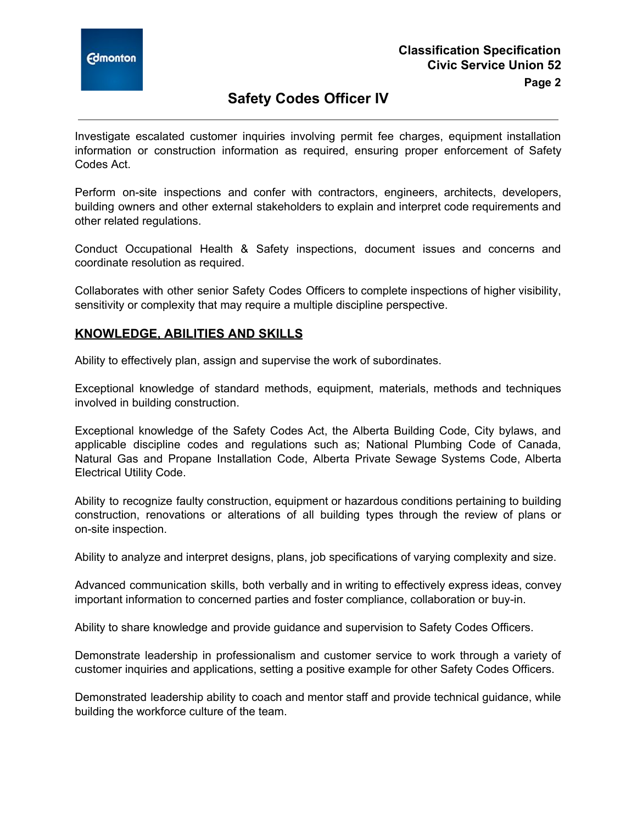

Investigate escalated customer inquiries involving permit fee charges, equipment installation information or construction information as required, ensuring proper enforcement of Safety Codes Act.

Perform on-site inspections and confer with contractors, engineers, architects, developers, building owners and other external stakeholders to explain and interpret code requirements and other related regulations.

Conduct Occupational Health & Safety inspections, document issues and concerns and coordinate resolution as required.

Collaborates with other senior Safety Codes Officers to complete inspections of higher visibility, sensitivity or complexity that may require a multiple discipline perspective.

### **KNOWLEDGE, ABILITIES AND SKILLS**

Ability to effectively plan, assign and supervise the work of subordinates.

Exceptional knowledge of standard methods, equipment, materials, methods and techniques involved in building construction.

Exceptional knowledge of the Safety Codes Act, the Alberta Building Code, City bylaws, and applicable discipline codes and regulations such as; National Plumbing Code of Canada, Natural Gas and Propane Installation Code, Alberta Private Sewage Systems Code, Alberta Electrical Utility Code.

Ability to recognize faulty construction, equipment or hazardous conditions pertaining to building construction, renovations or alterations of all building types through the review of plans or on-site inspection.

Ability to analyze and interpret designs, plans, job specifications of varying complexity and size.

Advanced communication skills, both verbally and in writing to effectively express ideas, convey important information to concerned parties and foster compliance, collaboration or buy-in.

Ability to share knowledge and provide guidance and supervision to Safety Codes Officers.

Demonstrate leadership in professionalism and customer service to work through a variety of customer inquiries and applications, setting a positive example for other Safety Codes Officers.

Demonstrated leadership ability to coach and mentor staff and provide technical guidance, while building the workforce culture of the team.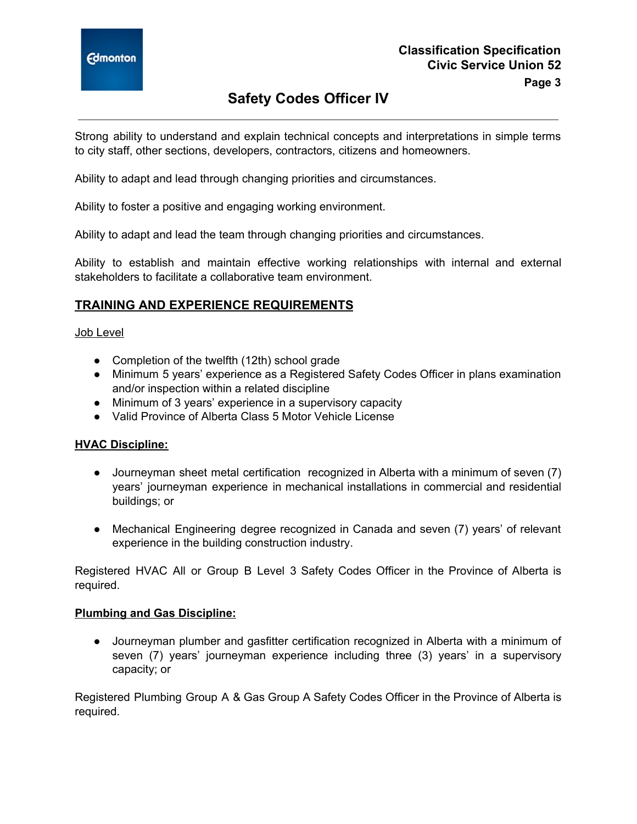

Strong ability to understand and explain technical concepts and interpretations in simple terms to city staff, other sections, developers, contractors, citizens and homeowners.

Ability to adapt and lead through changing priorities and circumstances.

Ability to foster a positive and engaging working environment.

Ability to adapt and lead the team through changing priorities and circumstances.

Ability to establish and maintain effective working relationships with internal and external stakeholders to facilitate a collaborative team environment.

## **TRAINING AND EXPERIENCE REQUIREMENTS**

#### Job Level

- Completion of the twelfth (12th) school grade
- Minimum 5 years' experience as a Registered Safety Codes Officer in plans examination and/or inspection within a related discipline
- Minimum of 3 years' experience in a supervisory capacity
- Valid Province of Alberta Class 5 Motor Vehicle License

### **HVAC Discipline:**

- Journeyman sheet metal certification recognized in Alberta with a minimum of seven (7) years' journeyman experience in mechanical installations in commercial and residential buildings; or
- Mechanical Engineering degree recognized in Canada and seven (7) years' of relevant experience in the building construction industry.

Registered HVAC All or Group B Level 3 Safety Codes Officer in the Province of Alberta is required.

#### **Plumbing and Gas Discipline:**

● Journeyman plumber and gasfitter certification recognized in Alberta with a minimum of seven (7) years' journeyman experience including three (3) years' in a supervisory capacity; or

Registered Plumbing Group A & Gas Group A Safety Codes Officer in the Province of Alberta is required.